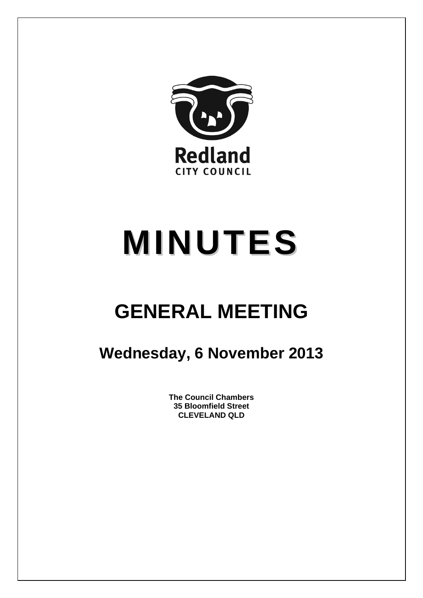

# **MINUTES**

## **GENERAL MEETING**

### **Wednesday, 6 November 2013**

**The Council Chambers 35 Bloomfield Street CLEVELAND QLD**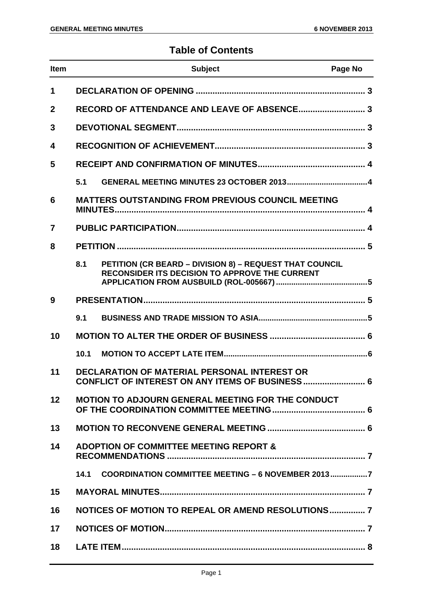### **Table of Contents**

| Item         |      | <b>Subject</b>                                                                                                   | Page No |
|--------------|------|------------------------------------------------------------------------------------------------------------------|---------|
| 1            |      |                                                                                                                  |         |
| $\mathbf{2}$ |      |                                                                                                                  |         |
| 3            |      |                                                                                                                  |         |
| 4            |      |                                                                                                                  |         |
| 5            |      |                                                                                                                  |         |
|              | 5.1  |                                                                                                                  |         |
| 6            |      | <b>MATTERS OUTSTANDING FROM PREVIOUS COUNCIL MEETING</b>                                                         |         |
| 7            |      |                                                                                                                  |         |
| 8            |      |                                                                                                                  |         |
|              | 8.1  | PETITION (CR BEARD - DIVISION 8) - REQUEST THAT COUNCIL<br><b>RECONSIDER ITS DECISION TO APPROVE THE CURRENT</b> |         |
| 9            |      |                                                                                                                  |         |
|              | 9.1  |                                                                                                                  |         |
| 10           |      |                                                                                                                  |         |
|              | 10.1 |                                                                                                                  |         |
| 11           |      | <b>DECLARATION OF MATERIAL PERSONAL INTEREST OR</b><br>CONFLICT OF INTEREST ON ANY ITEMS OF BUSINESS 6           |         |
| 12           |      | <b>MOTION TO ADJOURN GENERAL MEETING FOR THE CONDUCT</b>                                                         |         |
| 13           |      |                                                                                                                  |         |
| 14           |      | <b>ADOPTION OF COMMITTEE MEETING REPORT &amp;</b>                                                                |         |
|              | 14.1 | COORDINATION COMMITTEE MEETING - 6 NOVEMBER 20137                                                                |         |
| 15           |      |                                                                                                                  |         |
| 16           |      | NOTICES OF MOTION TO REPEAL OR AMEND RESOLUTIONS 7                                                               |         |
| 17           |      |                                                                                                                  |         |
| 18           |      |                                                                                                                  |         |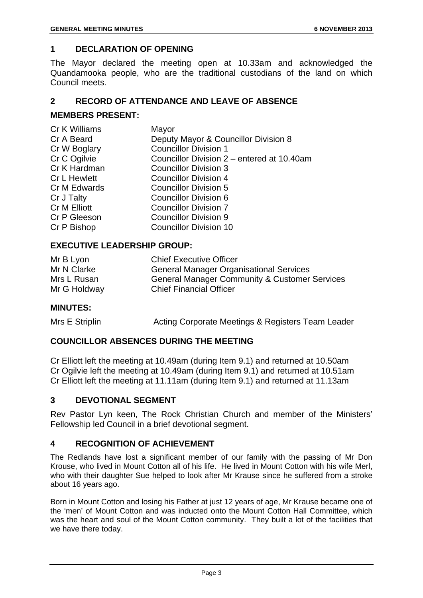#### **1 DECLARATION OF OPENING**

The Mayor declared the meeting open at 10.33am and acknowledged the Quandamooka people, who are the traditional custodians of the land on which Council meets.

#### **2 RECORD OF ATTENDANCE AND LEAVE OF ABSENCE**

#### **MEMBERS PRESENT:**

| Cr K Williams       | Mayor                                      |
|---------------------|--------------------------------------------|
| Cr A Beard          | Deputy Mayor & Councillor Division 8       |
| Cr W Boglary        | <b>Councillor Division 1</b>               |
| Cr C Ogilvie        | Councillor Division 2 - entered at 10.40am |
| Cr K Hardman        | <b>Councillor Division 3</b>               |
| <b>Cr L Hewlett</b> | <b>Councillor Division 4</b>               |
| Cr M Edwards        | <b>Councillor Division 5</b>               |
| Cr J Talty          | <b>Councillor Division 6</b>               |
| Cr M Elliott        | <b>Councillor Division 7</b>               |
| Cr P Gleeson        | <b>Councillor Division 9</b>               |
| Cr P Bishop         | <b>Councillor Division 10</b>              |
|                     |                                            |

#### **EXECUTIVE LEADERSHIP GROUP:**

| Mr B Lyon    | <b>Chief Executive Officer</b>                           |
|--------------|----------------------------------------------------------|
| Mr N Clarke  | <b>General Manager Organisational Services</b>           |
| Mrs L Rusan  | <b>General Manager Community &amp; Customer Services</b> |
| Mr G Holdway | <b>Chief Financial Officer</b>                           |

#### **MINUTES:**

Mrs E Striplin **Acting Corporate Meetings & Registers Team Leader** 

#### **COUNCILLOR ABSENCES DURING THE MEETING**

Cr Elliott left the meeting at 10.49am (during Item 9.1) and returned at 10.50am Cr Ogilvie left the meeting at 10.49am (during Item 9.1) and returned at 10.51am Cr Elliott left the meeting at 11.11am (during Item 9.1) and returned at 11.13am

#### **3 DEVOTIONAL SEGMENT**

Rev Pastor Lyn keen, The Rock Christian Church and member of the Ministers' Fellowship led Council in a brief devotional segment.

#### **4 RECOGNITION OF ACHIEVEMENT**

The Redlands have lost a significant member of our family with the passing of Mr Don Krouse, who lived in Mount Cotton all of his life. He lived in Mount Cotton with his wife Merl, who with their daughter Sue helped to look after Mr Krause since he suffered from a stroke about 16 years ago.

Born in Mount Cotton and losing his Father at just 12 years of age, Mr Krause became one of the 'men' of Mount Cotton and was inducted onto the Mount Cotton Hall Committee, which was the heart and soul of the Mount Cotton community. They built a lot of the facilities that we have there today.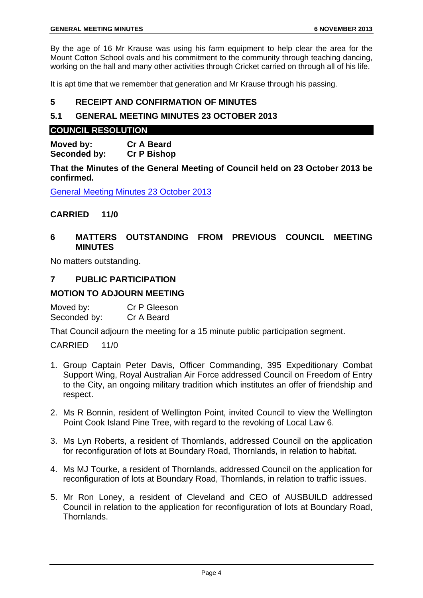By the age of 16 Mr Krause was using his farm equipment to help clear the area for the Mount Cotton School ovals and his commitment to the community through teaching dancing, working on the hall and many other activities through Cricket carried on through all of his life.

It is apt time that we remember that generation and Mr Krause through his passing.

#### **5 RECEIPT AND CONFIRMATION OF MINUTES**

#### **5.1 GENERAL MEETING MINUTES 23 OCTOBER 2013**

#### **COUNCIL RESOLUTION**

**Moved by: Cr A Beard Seconded by: Cr P Bishop** 

**That the Minutes of the General Meeting of Council held on 23 October 2013 be confirmed.** 

General Meeting Minutes 23 October 2013

#### **CARRIED 11/0**

#### **6 MATTERS OUTSTANDING FROM PREVIOUS COUNCIL MEETING MINUTES**

No matters outstanding.

#### **7 PUBLIC PARTICIPATION**

#### **MOTION TO ADJOURN MEETING**

Moved by: Cr P Gleeson Seconded by: Cr A Beard

That Council adjourn the meeting for a 15 minute public participation segment.

CARRIED 11/0

- 1. Group Captain Peter Davis, Officer Commanding, 395 Expeditionary Combat Support Wing, Royal Australian Air Force addressed Council on Freedom of Entry to the City, an ongoing military tradition which institutes an offer of friendship and respect.
- 2. Ms R Bonnin, resident of Wellington Point, invited Council to view the Wellington Point Cook Island Pine Tree, with regard to the revoking of Local Law 6.
- 3. Ms Lyn Roberts, a resident of Thornlands, addressed Council on the application for reconfiguration of lots at Boundary Road, Thornlands, in relation to habitat.
- 4. Ms MJ Tourke, a resident of Thornlands, addressed Council on the application for reconfiguration of lots at Boundary Road, Thornlands, in relation to traffic issues.
- 5. Mr Ron Loney, a resident of Cleveland and CEO of AUSBUILD addressed Council in relation to the application for reconfiguration of lots at Boundary Road, Thornlands.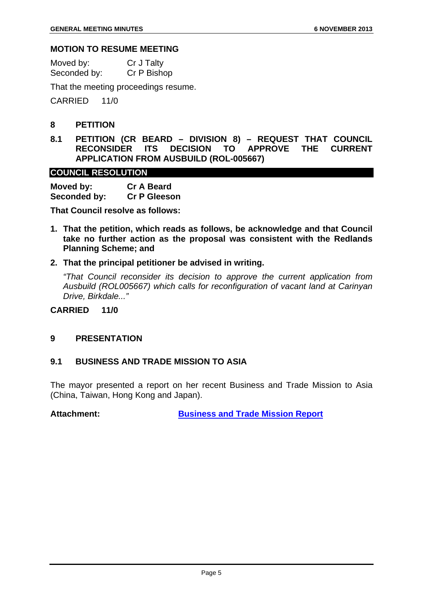#### **MOTION TO RESUME MEETING**

| Moved by:    | Cr J Talty  |
|--------------|-------------|
| Seconded by: | Cr P Bishop |

That the meeting proceedings resume.

CARRIED 11/0

#### **8 PETITION**

**8.1 PETITION (CR BEARD – DIVISION 8) – REQUEST THAT COUNCIL RECONSIDER ITS DECISION TO APPROVE THE CURRENT APPLICATION FROM AUSBUILD (ROL-005667)** 

#### **COUNCIL RESOLUTION**

| Moved by:    | <b>Cr A Beard</b>   |
|--------------|---------------------|
| Seconded by: | <b>Cr P Gleeson</b> |

**That Council resolve as follows:** 

- **1. That the petition, which reads as follows, be acknowledge and that Council take no further action as the proposal was consistent with the Redlands Planning Scheme; and**
- **2. That the principal petitioner be advised in writing.**

*"That Council reconsider its decision to approve the current application from Ausbuild (ROL005667) which calls for reconfiguration of vacant land at Carinyan Drive, Birkdale..."* 

**CARRIED 11/0** 

#### **9 PRESENTATION**

#### **9.1 BUSINESS AND TRADE MISSION TO ASIA**

The mayor presented a report on her recent Business and Trade Mission to Asia (China, Taiwan, Hong Kong and Japan).

**Attachment: Business and Trade Mission Report**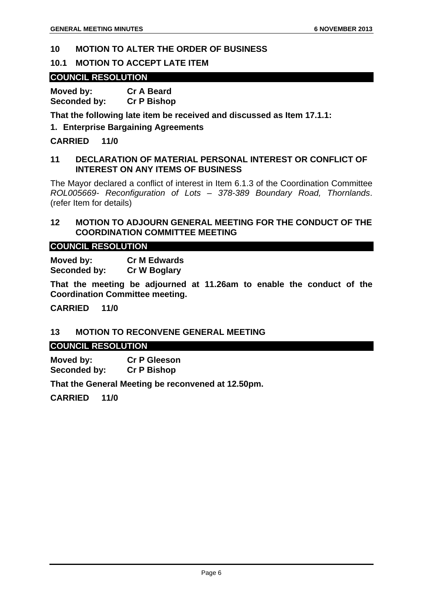#### **10 MOTION TO ALTER THE ORDER OF BUSINESS**

#### **10.1 MOTION TO ACCEPT LATE ITEM**

#### **COUNCIL RESOLUTION**

**Moved by: Cr A Beard Seconded by: Cr P Bishop** 

**That the following late item be received and discussed as Item 17.1.1:** 

#### **1. Enterprise Bargaining Agreements**

**CARRIED 11/0** 

#### **11 DECLARATION OF MATERIAL PERSONAL INTEREST OR CONFLICT OF INTEREST ON ANY ITEMS OF BUSINESS**

The Mayor declared a conflict of interest in Item 6.1.3 of the Coordination Committee *ROL005669- Reconfiguration of Lots – 378-389 Boundary Road, Thornlands*. (refer Item for details)

#### **12 MOTION TO ADJOURN GENERAL MEETING FOR THE CONDUCT OF THE COORDINATION COMMITTEE MEETING**

#### **COUNCIL RESOLUTION**

**Moved by: Cr M Edwards Seconded by: Cr W Boglary** 

**That the meeting be adjourned at 11.26am to enable the conduct of the Coordination Committee meeting.** 

**CARRIED 11/0** 

#### **13 MOTION TO RECONVENE GENERAL MEETING**

#### **COUNCIL RESOLUTION**

**Moved by: Cr P Gleeson Seconded by: Cr P Bishop** 

**That the General Meeting be reconvened at 12.50pm.** 

**CARRIED 11/0**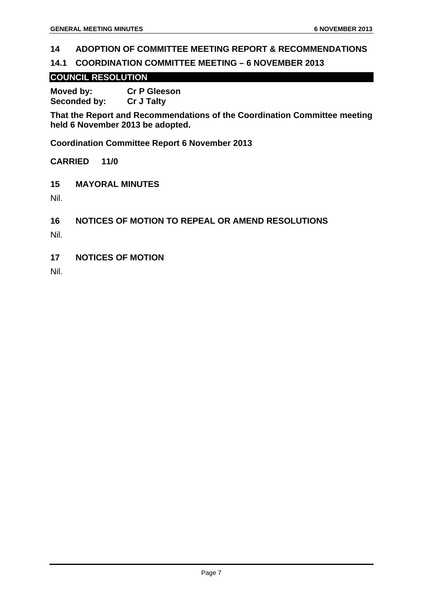#### **14 ADOPTION OF COMMITTEE MEETING REPORT & RECOMMENDATIONS**

#### **14.1 COORDINATION COMMITTEE MEETING – 6 NOVEMBER 2013**

#### **COUNCIL RESOLUTION**

**Moved by: Cr P Gleeson Seconded by: Cr J Talty** 

**That the Report and Recommendations of the Coordination Committee meeting held 6 November 2013 be adopted.** 

**Coordination Committee Report 6 November 2013** 

**CARRIED 11/0** 

**15 MAYORAL MINUTES** 

Nil.

**16 NOTICES OF MOTION TO REPEAL OR AMEND RESOLUTIONS** 

Nil.

**17 NOTICES OF MOTION** 

Nil.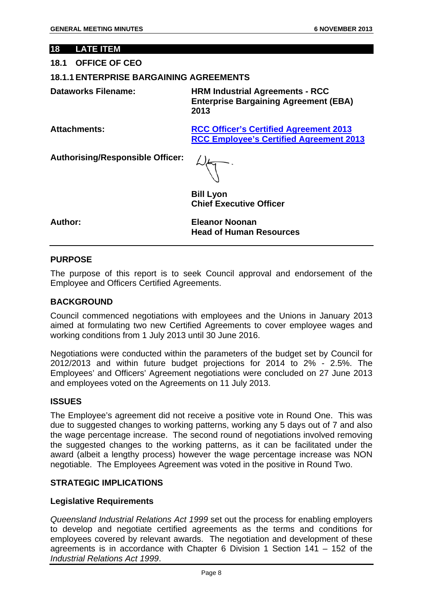#### **18 LATE ITEM**

#### **18.1 OFFICE OF CEO**

#### **18.1.1 ENTERPRISE BARGAINING AGREEMENTS**

**Dataworks Filename: HRM Industrial Agreements - RCC Enterprise Bargaining Agreement (EBA) 2013** 

**Attachments: RCC Officer's Certified Agreement 2013 RCC Employee's Certified Agreement 2013**

**Authorising/Responsible Officer:** 

**Bill Lyon Chief Executive Officer** 

**Author: Eleanor Noonan Head of Human Resources** 

#### **PURPOSE**

The purpose of this report is to seek Council approval and endorsement of the Employee and Officers Certified Agreements.

#### **BACKGROUND**

Council commenced negotiations with employees and the Unions in January 2013 aimed at formulating two new Certified Agreements to cover employee wages and working conditions from 1 July 2013 until 30 June 2016.

Negotiations were conducted within the parameters of the budget set by Council for 2012/2013 and within future budget projections for 2014 to 2% - 2.5%. The Employees' and Officers' Agreement negotiations were concluded on 27 June 2013 and employees voted on the Agreements on 11 July 2013.

#### **ISSUES**

The Employee's agreement did not receive a positive vote in Round One. This was due to suggested changes to working patterns, working any 5 days out of 7 and also the wage percentage increase. The second round of negotiations involved removing the suggested changes to the working patterns, as it can be facilitated under the award (albeit a lengthy process) however the wage percentage increase was NON negotiable. The Employees Agreement was voted in the positive in Round Two.

#### **STRATEGIC IMPLICATIONS**

#### **Legislative Requirements**

*Queensland Industrial Relations Act 1999* set out the process for enabling employers to develop and negotiate certified agreements as the terms and conditions for employees covered by relevant awards. The negotiation and development of these agreements is in accordance with Chapter 6 Division 1 Section 141 – 152 of the *Industrial Relations Act 1999*.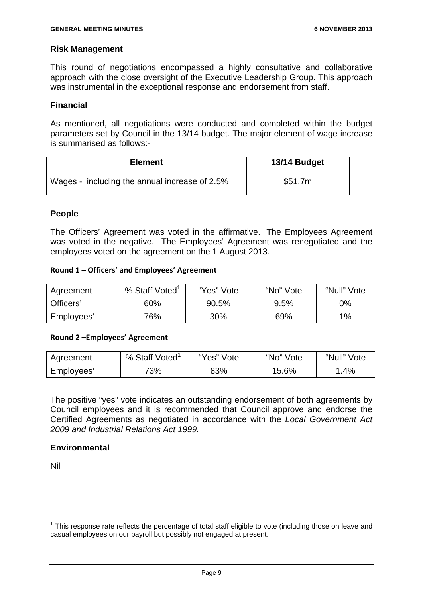#### **Risk Management**

This round of negotiations encompassed a highly consultative and collaborative approach with the close oversight of the Executive Leadership Group. This approach was instrumental in the exceptional response and endorsement from staff.

#### **Financial**

As mentioned, all negotiations were conducted and completed within the budget parameters set by Council in the 13/14 budget. The major element of wage increase is summarised as follows:-

| <b>Element</b>                                | 13/14 Budget |
|-----------------------------------------------|--------------|
| Wages - including the annual increase of 2.5% | \$51.7m      |

#### **People**

The Officers' Agreement was voted in the affirmative. The Employees Agreement was voted in the negative. The Employees' Agreement was renegotiated and the employees voted on the agreement on the 1 August 2013.

#### **Round 1 – Officers' and Employees' Agreement**

| Agreement  | % Staff Voted <sup>1</sup> | "Yes" Vote | "No" Vote | "Null" Vote |
|------------|----------------------------|------------|-----------|-------------|
| Officers'  | 60%                        | 90.5%      | 9.5%      | 0%          |
| Employees' | 76%                        | 30%        | 69%       | 1%          |

#### **Round 2 –Employees' Agreement**

| Agreement  | % Staff Voted | "Yes" Vote | "No" Vote | "Null" Vote |
|------------|---------------|------------|-----------|-------------|
| Employees' | 73%           | 83%        | 15.6%     | $.4\%$      |

The positive "yes" vote indicates an outstanding endorsement of both agreements by Council employees and it is recommended that Council approve and endorse the Certified Agreements as negotiated in accordance with the *Local Government Act 2009 and Industrial Relations Act 1999.*

#### **Environmental**

Nil

-

 $1$  This response rate reflects the percentage of total staff eligible to vote (including those on leave and casual employees on our payroll but possibly not engaged at present.